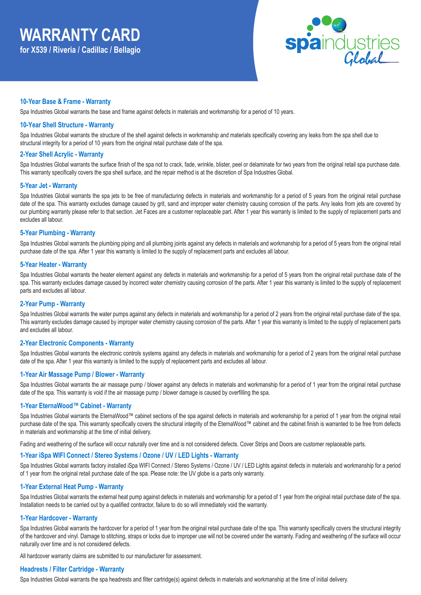

## **10-Year Base & Frame - Warranty**

Spa Industries Global warrants the base and frame against defects in materials and workmanship for a period of 10 years.

#### **10-Year Shell Structure - Warranty**

Spa Industries Global warrants the structure of the shell against defects in workmanship and materials specifically covering any leaks from the spa shell due to structural integrity for a period of 10 years from the original retail purchase date of the spa.

#### **2-Year Shell Acrylic - Warranty**

Spa Industries Global warrants the surface finish of the spa not to crack, fade, wrinkle, blister, peel or delaminate for two years from the original retail spa purchase date. This warranty specifically covers the spa shell surface, and the repair method is at the discretion of Spa Industries Global.

#### **5-Year Jet - Warranty**

Spa Industries Global warrants the spa jets to be free of manufacturing defects in materials and workmanship for a period of 5 years from the original retail purchase date of the spa. This warranty excludes damage caused by grit, sand and improper water chemistry causing corrosion of the parts. Any leaks from jets are covered by our plumbing warranty please refer to that section. Jet Faces are a customer replaceable part. After 1 year this warranty is limited to the supply of replacement parts and excludes all labour.

#### **5-Year Plumbing - Warranty**

Spa Industries Global warrants the plumbing piping and all plumbing joints against any defects in materials and workmanship for a period of 5 years from the original retail purchase date of the spa. After 1 year this warranty is limited to the supply of replacement parts and excludes all labour.

#### **5-Year Heater - Warranty**

Spa Industries Global warrants the heater element against any defects in materials and workmanship for a period of 5 years from the original retail purchase date of the spa. This warranty excludes damage caused by incorrect water chemistry causing corrosion of the parts. After 1 year this warranty is limited to the supply of replacement parts and excludes all labour.

## **2-Year Pump - Warranty**

Spa Industries Global warrants the water pumps against any defects in materials and workmanship for a period of 2 years from the original retail purchase date of the spa. This warranty excludes damage caused by improper water chemistry causing corrosion of the parts. After 1 year this warranty is limited to the supply of replacement parts and excludes all labour.

#### **2-Year Electronic Components - Warranty**

Spa Industries Global warrants the electronic controls systems against any defects in materials and workmanship for a period of 2 years from the original retail purchase date of the spa. After 1 year this warranty is limited to the supply of replacement parts and excludes all labour.

#### **1-Year Air Massage Pump / Blower - Warranty**

Spa Industries Global warrants the air massage pump / blower against any defects in materials and workmanship for a period of 1 year from the original retail purchase date of the spa. This warranty is void if the air massage pump / blower damage is caused by overfilling the spa.

## **1-Year EternaWood™ Cabinet - Warranty**

Spa Industries Global warrants the EternaWood™ cabinet sections of the spa against defects in materials and workmanship for a period of 1 year from the original retail purchase date of the spa. This warranty specifically covers the structural integrity of the EternaWood™ cabinet and the cabinet finish is warranted to be free from defects in materials and workmanship at the time of initial delivery.

Fading and weathering of the surface will occur naturally over time and is not considered defects. Cover Strips and Doors are customer replaceable parts.

#### **1-Year iSpa WIFI Connect / Stereo Systems / Ozone / UV / LED Lights - Warranty**

Spa Industries Global warrants factory installed iSpa WIFI Connect / Stereo Systems / Ozone / UV / LED Lights against defects in materials and workmanship for a period of 1 year from the original retail purchase date of the spa. Please note: the UV globe is a parts only warranty.

## **1-Year External Heat Pump - Warranty**

Spa Industries Global warrants the external heat pump against defects in materials and workmanship for a period of 1 year from the original retail purchase date of the spa. Installation needs to be carried out by a qualified contractor, failure to do so will immediately void the warranty.

#### **1-Year Hardcover - Warranty**

Spa Industries Global warrants the hardcover for a period of 1 year from the original retail purchase date of the spa. This warranty specifically covers the structural integrity of the hardcover and vinyl. Damage to stitching, straps or locks due to improper use will not be covered under the warranty. Fading and weathering of the surface will occur naturally over time and is not considered defects.

All hardcover warranty claims are submitted to our manufacturer for assessment.

## **Headrests / Filter Cartridge - Warranty**

Spa Industries Global warrants the spa headrests and filter cartridge(s) against defects in materials and workmanship at the time of initial delivery.